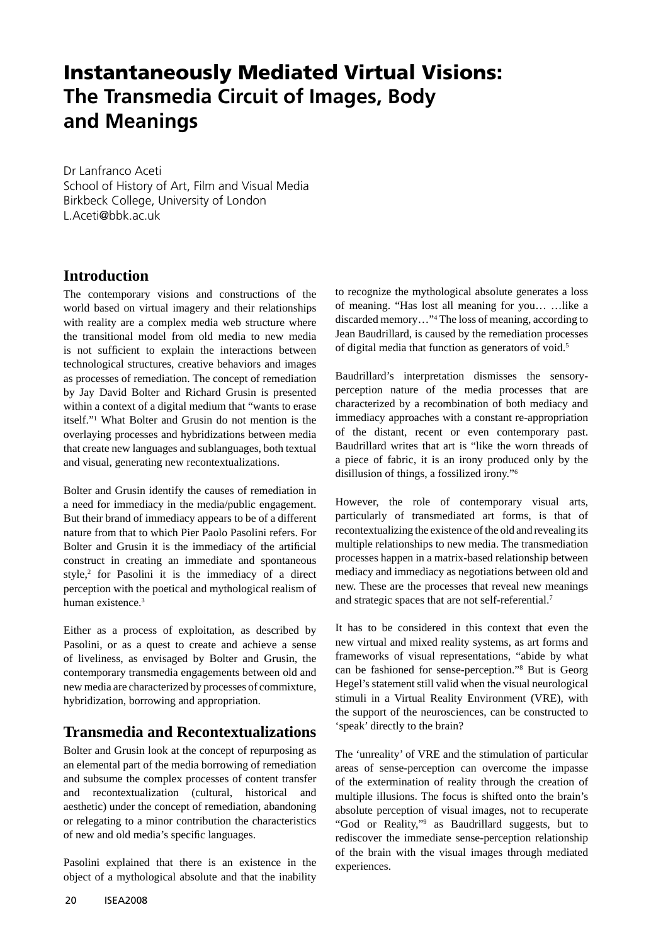## **Instantaneously Mediated Virtual Visions: The Transmedia Circuit of Images, Body and Meanings**

Dr Lanfranco Aceti School of History of Art, Film and Visual Media Birkbeck College, University of London L. Aceti@bbk.ac.uk

## **Introduction**

The contemporary visions and constructions of the world based on virtual imagery and their relationships with reality are a complex media web structure where the transitional model from old media to new media is not sufficient to explain the interactions between technological structures, creative behaviors and images as processes of remediation. The concept of remediation by Jay David Bolter and Richard Grusin is presented within a context of a digital medium that "wants to erase itself."1 What Bolter and Grusin do not mention is the overlaying processes and hybridizations between media that create new languages and sublanguages, both textual and visual, generating new recontextualizations.

Bolter and Grusin identify the causes of remediation in a need for immediacy in the media/public engagement. But their brand of immediacy appears to be of a different nature from that to which Pier Paolo Pasolini refers. For Bolter and Grusin it is the immediacy of the artificial construct in creating an immediate and spontaneous  $style$ ,<sup>2</sup> for Pasolini it is the immediacy of a direct perception with the poetical and mythological realism of human existence.3

Either as a process of exploitation, as described by Pasolini, or as a quest to create and achieve a sense of liveliness, as envisaged by Bolter and Grusin, the contemporary transmedia engagements between old and new media are characterized by processes of commixture, hybridization, borrowing and appropriation.

## **Transmedia and Recontextualizations**

Bolter and Grusin look at the concept of repurposing as an elemental part of the media borrowing of remediation and subsume the complex processes of content transfer and recontextualization (cultural, historical and aesthetic) under the concept of remediation, abandoning or relegating to a minor contribution the characteristics of new and old media's specific languages.

Pasolini explained that there is an existence in the object of a mythological absolute and that the inability

to recognize the mythological absolute generates a loss of meaning. "Has lost all meaning for you… …like a discarded memory…"4 The loss of meaning, according to Jean Baudrillard, is caused by the remediation processes of digital media that function as generators of void.<sup>5</sup>

Baudrillard's interpretation dismisses the sensoryperception nature of the media processes that are characterized by a recombination of both mediacy and immediacy approaches with a constant re-appropriation of the distant, recent or even contemporary past. Baudrillard writes that art is "like the worn threads of a piece of fabric, it is an irony produced only by the disillusion of things, a fossilized irony."6

However, the role of contemporary visual arts, particularly of transmediated art forms, is that of recontextualizing the existence of the old and revealing its multiple relationships to new media. The transmediation processes happen in a matrix-based relationship between mediacy and immediacy as negotiations between old and new. These are the processes that reveal new meanings and strategic spaces that are not self-referential.7

It has to be considered in this context that even the new virtual and mixed reality systems, as art forms and frameworks of visual representations, "abide by what can be fashioned for sense-perception."8 But is Georg Hegel's statement still valid when the visual neurological stimuli in a Virtual Reality Environment (VRE), with the support of the neurosciences, can be constructed to 'speak' directly to the brain?

The 'unreality' of VRE and the stimulation of particular areas of sense-perception can overcome the impasse of the extermination of reality through the creation of multiple illusions. The focus is shifted onto the brain's absolute perception of visual images, not to recuperate "God or Reality,"9 as Baudrillard suggests, but to rediscover the immediate sense-perception relationship of the brain with the visual images through mediated experiences.